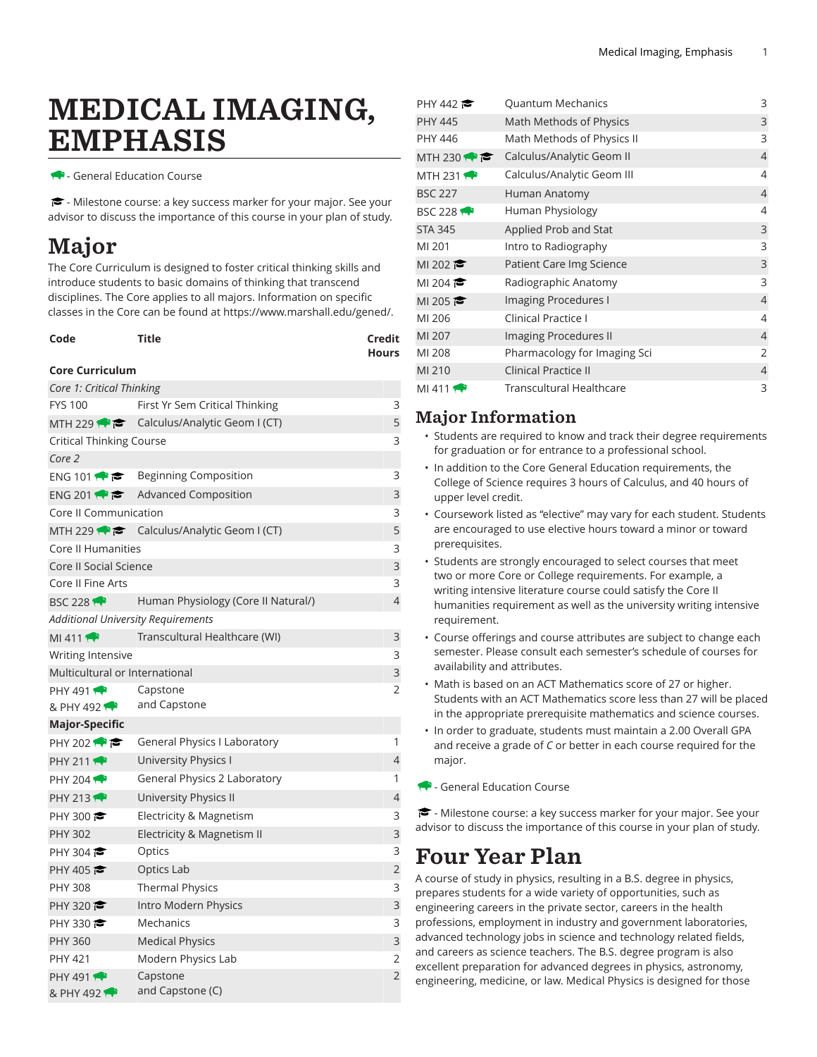# MEDICAL IMAGING, EMPHASIS

**- General Education Course** 

- Milestone course: a key success marker for your major. See your advisor to discuss the importance of this course in your plan of study.

## Major

The Core Curriculum is designed to foster critical thinking skills and introduce students to basic domains of thinking that transcend disciplines. The Core applies to all majors. Information on specific classes in the Core can be found at [https://www.marshall.edu/gened/.](https://www.marshall.edu/gened/)

| Code | Title | Credit       |
|------|-------|--------------|
|      |       | <b>Hours</b> |

### **Core Curriculum**

| Core 1: Critical Thinking          |                                                         |                |  |  |
|------------------------------------|---------------------------------------------------------|----------------|--|--|
| <b>FYS 100</b>                     | First Yr Sem Critical Thinking                          | 3              |  |  |
| MTH 229                            | Calculus/Analytic Geom I (CT)                           | 5              |  |  |
| Critical Thinking Course           |                                                         |                |  |  |
| Core 2                             |                                                         |                |  |  |
|                                    | ENG 101 $\bullet$ <b>Beginning Composition</b>          | 3              |  |  |
|                                    | ENG 201 $\bullet$ <b>C</b> Advanced Composition         | 3              |  |  |
| Core II Communication              |                                                         |                |  |  |
|                                    | MTH 229 $\bullet \bullet$ Calculus/Analytic Geom I (CT) | 5              |  |  |
| <b>Core II Humanities</b>          |                                                         |                |  |  |
| <b>Core II Social Science</b>      |                                                         | 3              |  |  |
| Core II Fine Arts                  |                                                         | 3              |  |  |
| <b>BSC 228 1</b>                   | Human Physiology (Core II Natural/)                     | 4              |  |  |
| Additional University Requirements |                                                         |                |  |  |
| MI 411                             | Transcultural Healthcare (WI)                           | 3              |  |  |
| <b>Writing Intensive</b>           |                                                         |                |  |  |
| Multicultural or International     |                                                         |                |  |  |
| <b>PHY 491</b>                     | Capstone                                                | 2              |  |  |
| & PHY 492                          | and Capstone                                            |                |  |  |
| Major-Specific                     |                                                         |                |  |  |
| PHY 202 $\bullet$                  | General Physics I Laboratory                            | 1              |  |  |
| PHY 211                            | University Physics I                                    | $\overline{4}$ |  |  |
| PHY 204                            | General Physics 2 Laboratory                            | 1              |  |  |
| <b>PHY 213</b>                     | University Physics II                                   | $\overline{4}$ |  |  |
| PHY 300 $\approx$                  | Electricity & Magnetism                                 | 3              |  |  |
| <b>PHY 302</b>                     | Electricity & Magnetism II                              | 3              |  |  |
| PHY 304 $\approx$                  | Optics                                                  | 3              |  |  |
| PHY 405                            | Optics Lab                                              | $\overline{2}$ |  |  |
| <b>PHY 308</b>                     | <b>Thermal Physics</b>                                  | 3              |  |  |
| PHY 320 $\bullet$                  | Intro Modern Physics                                    | 3              |  |  |
| PHY 330                            | Mechanics                                               | 3              |  |  |
| <b>PHY 360</b>                     | <b>Medical Physics</b>                                  | 3              |  |  |
| <b>PHY 421</b>                     | Modern Physics Lab                                      | 2              |  |  |
| <b>PHY 491</b>                     | Capstone                                                | $\overline{2}$ |  |  |
| & PHY 492                          | and Capstone (C)                                        |                |  |  |

| PHY 442           | Quantum Mechanics               | 3              |
|-------------------|---------------------------------|----------------|
| <b>PHY 445</b>    | Math Methods of Physics         | 3              |
| PHY 446           | Math Methods of Physics II      | 3              |
| MTH 230           | Calculus/Analytic Geom II       | $\overline{4}$ |
| MTH 231 $\bullet$ | Calculus/Analytic Geom III      | 4              |
| <b>BSC 227</b>    | Human Anatomy                   | $\overline{4}$ |
| <b>BSC 228 1</b>  | Human Physiology                | $\overline{4}$ |
| <b>STA 345</b>    | Applied Prob and Stat           | 3              |
| MI 201            | Intro to Radiography            | 3              |
| MI 202 $\approx$  | Patient Care Img Science        | 3              |
| MI 204 $\approx$  | Radiographic Anatomy            | 3              |
| MI 205 $\approx$  | Imaging Procedures I            | $\overline{4}$ |
| MI 206            | <b>Clinical Practice I</b>      | 4              |
| MI 207            | Imaging Procedures II           | $\overline{4}$ |
| MI 208            | Pharmacology for Imaging Sci    | $\overline{2}$ |
| MI 210            | <b>Clinical Practice II</b>     | $\overline{4}$ |
| MI 411            | <b>Transcultural Healthcare</b> | 3              |
|                   |                                 |                |

## Major Information

- Students are required to know and track their degree requirements for graduation or for entrance to a professional school.
- In addition to the Core General Education requirements, the College of Science requires 3 hours of Calculus, and 40 hours of upper level credit.
- Coursework listed as "elective" may vary for each student. Students are encouraged to use elective hours toward a minor or toward prerequisites.
- Students are strongly encouraged to select courses that meet two or more Core or College requirements. For example, a writing intensive literature course could satisfy the Core II humanities requirement as well as the university writing intensive requirement.
- Course offerings and course attributes are subject to change each semester. Please consult each semester's schedule of courses for availability and attributes.
- Math is based on an ACT Mathematics score of 27 or higher. Students with an ACT Mathematics score less than 27 will be placed in the appropriate prerequisite mathematics and science courses.
- In order to graduate, students must maintain a 2.00 Overall GPA and receive a grade of *C* or better in each course required for the major.
- General Education Course

- Milestone course: a key success marker for your major. See your advisor to discuss the importance of this course in your plan of study.

## Four Year Plan

A course of study in physics, resulting in a B.S. degree in physics, prepares students for a wide variety of opportunities, such as engineering careers in the private sector, careers in the health professions, employment in industry and government laboratories, advanced technology jobs in science and technology related fields, and careers as science teachers. The B.S. degree program is also excellent preparation for advanced degrees in physics, astronomy, engineering, medicine, or law. Medical Physics is designed for those